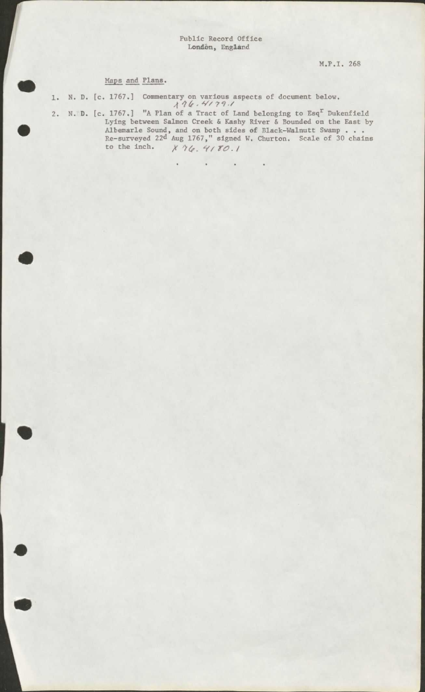## Maps and Plans •

•

•

•

- 1. N. D. [c. 1767.] Commentary on various aspects of document below.<br>  $\frac{1}{4}\frac{76.4779.7}{4.64779.74.64799.644799.644799.644799.6444799.644799.6444799.6444799.6444799.6444799.6444799.6444799.6444799.6444799.6444799.644479$
- 2. N.D. [c. 1767.] "A Plan of a Tract of Land belonging to Esq<sup>r</sup> Dukenfield Lying between Salmon Creek & Kashy River & Bounded on the East by Albemarle Sound, and on both sides of B1ack-Wa1nutt Swamp •.. Re-surveyed 22<sup>d</sup> Aug 1767," signed W. Churton. Scale of 30 chains<br>to the inch.  $\chi$  *'*16. *4*/ *TO*./